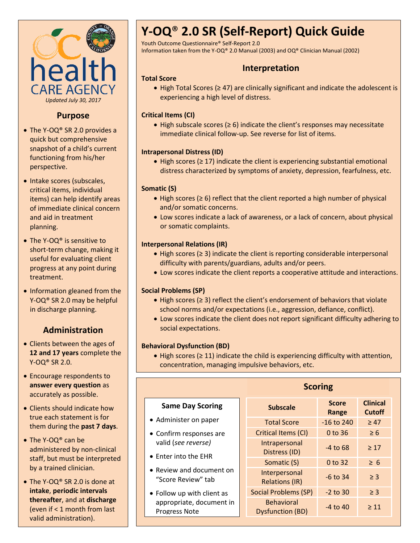

### **Purpose**

- The Y-OQ® SR 2.0 provides a quick but comprehensive snapshot of a child's current functioning from his/her perspective.
- Intake scores (subscales, critical items, individual items) can help identify areas of immediate clinical concern and aid in treatment planning.
- The Y-OQ® is sensitive to short-term change, making it useful for evaluating client progress at any point during treatment.
- Information gleaned from the Y-OQ® SR 2.0 may be helpful in discharge planning.

## **Administration**

- Clients between the ages of **12 and 17 years** complete the Y-OQ® SR 2.0.
- Encourage respondents to **answer every question** as accurately as possible.
- Clients should indicate how true each statement is for them during the **past 7 days**.
- The Y-OQ<sup>®</sup> can be administered by non-clinical staff, but must be interpreted by a trained clinician.
- The Y-OO® SR 2.0 is done at **intake**, **periodic intervals thereafter**, and at **discharge** (even if < 1 month from last valid administration).

# **Y-OQ**® **2.0 SR (Self-Report) Quick Guide**

Youth Outcome Questionnaire® Self-Report 2.0

Information taken from the Y-OQ® 2.0 Manual (2003) and OQ® Clinician Manual (2002)

## **Interpretation**

#### **Total Score**

 High Total Scores (≥ 47) are clinically significant and indicate the adolescent is experiencing a high level of distress.

#### **Critical Items (CI)**

 High subscale scores (≥ 6) indicate the client's responses may necessitate immediate clinical follow-up. See reverse for list of items.

#### **Intrapersonal Distress (ID)**

 High scores (≥ 17) indicate the client is experiencing substantial emotional distress characterized by symptoms of anxiety, depression, fearfulness, etc.

#### **Somatic (S)**

- High scores (≥ 6) reflect that the client reported a high number of physical and/or somatic concerns.
- Low scores indicate a lack of awareness, or a lack of concern, about physical or somatic complaints.

#### **Interpersonal Relations (IR)**

- High scores (≥ 3) indicate the client is reporting considerable interpersonal difficulty with parents/guardians, adults and/or peers.
- Low scores indicate the client reports a cooperative attitude and interactions.

#### **Social Problems (SP)**

- High scores (≥ 3) reflect the client's endorsement of behaviors that violate school norms and/or expectations (i.e., aggression, defiance, conflict).
- Low scores indicate the client does not report significant difficulty adhering to social expectations.

#### **Behavioral Dysfunction (BD)**

 High scores (≥ 11) indicate the child is experiencing difficulty with attention, concentration, managing impulsive behaviors, etc.

| <b>Same Day Scoring</b>                          | <b>Subscale</b>                              | <b>Score</b><br>Range | <b>Clinical</b><br><b>Cutoff</b> |
|--------------------------------------------------|----------------------------------------------|-----------------------|----------------------------------|
| • Administer on paper                            | <b>Total Score</b>                           | $-16$ to 240          | $\geq 47$                        |
| • Confirm responses are                          | Critical Items (CI)                          | 0 to 36               | $\geq 6$                         |
| valid (see reverse)<br>• Enter into the EHR      | Intrapersonal<br>Distress (ID)               | $-4$ to 68            | $\geq 17$                        |
|                                                  | Somatic (S)                                  | 0 to 32               | $\geq 6$                         |
| • Review and document on<br>"Score Review" tab   | Interpersonal<br><b>Relations (IR)</b>       | $-6$ to 34            | $\geq$ 3                         |
| • Follow up with client as                       | <b>Social Problems (SP)</b>                  | $-2$ to 30            | $\geq$ 3                         |
| appropriate, document in<br><b>Progress Note</b> | <b>Behavioral</b><br><b>Dysfunction (BD)</b> | $-4$ to 40            | $\geq 11$                        |

#### **Scoring**